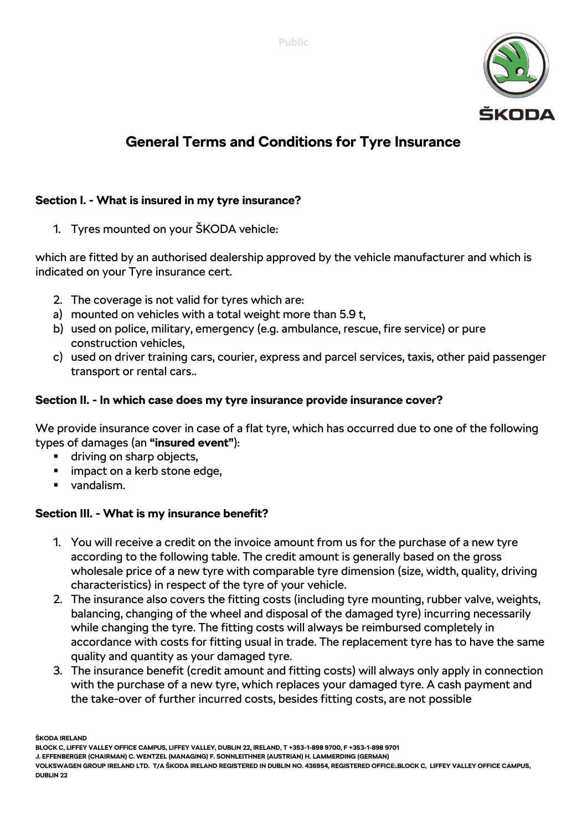

# **General Terms and Conditions for Tyre Insurance**

# **Section I. - What is insured in my tyre insurance?**

1. Tyres mounted on your ŠKODA vehicle:

which are fitted by an authorised dealership approved by the vehicle manufacturer and which is indicated on your Tyre insurance cert.

- 2. The coverage is not valid for tyres which are:
- a) mounted on vehicles with a total weight more than 5.9 t,
- b) used on police, military, emergency (e.g. ambulance, rescue, fire service) or pure construction vehicles,
- c) used on driver training cars, courier, express and parcel services, taxis, other paid passenger transport or rental cars..

## **Section II. - In which case does my tyre insurance provide insurance cover?**

We provide insurance cover in case of a flat tyre, which has occurred due to one of the following types of damages (an **"insured event"**):

- driving on sharp objects,
- **EXECUTE:** impact on a kerb stone edge,
- vandalism.

## **Section III. - What is my insurance benefit?**

- 1. You will receive a credit on the invoice amount from us for the purchase of a new tyre according to the following table. The credit amount is generally based on the gross wholesale price of a new tyre with comparable tyre dimension (size, width, quality, driving characteristics) in respect of the tyre of your vehicle.
- 2. The insurance also covers the fitting costs (including tyre mounting, rubber valve, weights, balancing, changing of the wheel and disposal of the damaged tyre) incurring necessarily while changing the tyre. The fitting costs will always be reimbursed completely in accordance with costs for fitting usual in trade. The replacement tyre has to have the same quality and quantity as your damaged tyre.
- 3. The insurance benefit (credit amount and fitting costs) will always only apply in connection with the purchase of a new tyre, which replaces your damaged tyre. A cash payment and the take-over of further incurred costs, besides fitting costs, are not possible

**ŠKODA IRELAND**

**BLOCK C, LIFFEY VALLEY OFFICE CAMPUS, LIFFEY VALLEY, DUBLIN 22, IRELAND, T +353-1-898 9700, F +353-1-898 9701**

**J. EFFENBERGER (CHAIRMAN) C. WENTZEL (MANAGING) F. SONNLEITHNER (AUSTRIAN) H. LAMMERDING (GERMAN)** 

**VOLKSWAGEN GROUP IRELAND LTD. T/A ŠKODA IRELAND REGISTERED IN DUBLIN NO. 436954, REGISTERED OFFICE:.BLOCK C, LIFFEY VALLEY OFFICE CAMPUS, DUBLIN 22**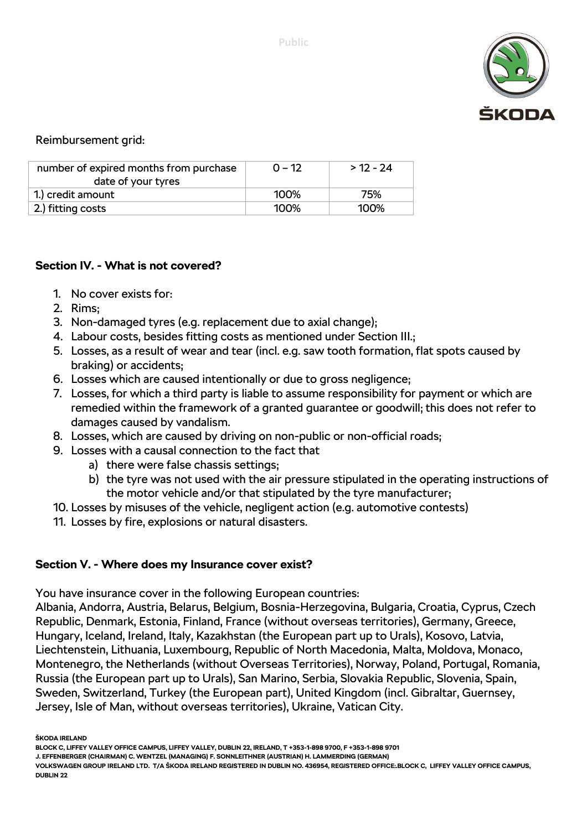

Reimbursement grid:

| number of expired months from purchase<br>date of your tyres | $0 - 12$ | $>12 - 24$ |
|--------------------------------------------------------------|----------|------------|
| 1.) credit amount                                            | 100%     | 75%        |
| 2.) fitting costs                                            | 100%     | $100\%$    |

### **Section IV. - What is not covered?**

- 1. No cover exists for:
- 2. Rims;
- 3. Non-damaged tyres (e.g. replacement due to axial change);
- 4. Labour costs, besides fitting costs as mentioned under Section III.;
- 5. Losses, as a result of wear and tear (incl. e.g. saw tooth formation, flat spots caused by braking) or accidents;
- 6. Losses which are caused intentionally or due to gross negligence;
- 7. Losses, for which a third party is liable to assume responsibility for payment or which are remedied within the framework of a granted guarantee or goodwill; this does not refer to damages caused by vandalism.
- 8. Losses, which are caused by driving on non-public or non-official roads;
- 9. Losses with a causal connection to the fact that
	- a) there were false chassis settings;
	- b) the tyre was not used with the air pressure stipulated in the operating instructions of the motor vehicle and/or that stipulated by the tyre manufacturer;
- 10. Losses by misuses of the vehicle, negligent action (e.g. automotive contests)
- 11. Losses by fire, explosions or natural disasters.

## **Section V. - Where does my Insurance cover exist?**

You have insurance cover in the following European countries:

Albania, Andorra, Austria, Belarus, Belgium, Bosnia-Herzegovina, Bulgaria, Croatia, Cyprus, Czech Republic, Denmark, Estonia, Finland, France (without overseas territories), Germany, Greece, Hungary, Iceland, Ireland, Italy, Kazakhstan (the European part up to Urals), Kosovo, Latvia, Liechtenstein, Lithuania, Luxembourg, Republic of North Macedonia, Malta, Moldova, Monaco, Montenegro, the Netherlands (without Overseas Territories), Norway, Poland, Portugal, Romania, Russia (the European part up to Urals), San Marino, Serbia, Slovakia Republic, Slovenia, Spain, Sweden, Switzerland, Turkey (the European part), United Kingdom (incl. Gibraltar, Guernsey, Jersey, Isle of Man, without overseas territories), Ukraine, Vatican City.

**ŠKODA IRELAND**

**BLOCK C, LIFFEY VALLEY OFFICE CAMPUS, LIFFEY VALLEY, DUBLIN 22, IRELAND, T +353-1-898 9700, F +353-1-898 9701**

**J. EFFENBERGER (CHAIRMAN) C. WENTZEL (MANAGING) F. SONNLEITHNER (AUSTRIAN) H. LAMMERDING (GERMAN)** 

**VOLKSWAGEN GROUP IRELAND LTD. T/A ŠKODA IRELAND REGISTERED IN DUBLIN NO. 436954, REGISTERED OFFICE:.BLOCK C, LIFFEY VALLEY OFFICE CAMPUS, DUBLIN 22**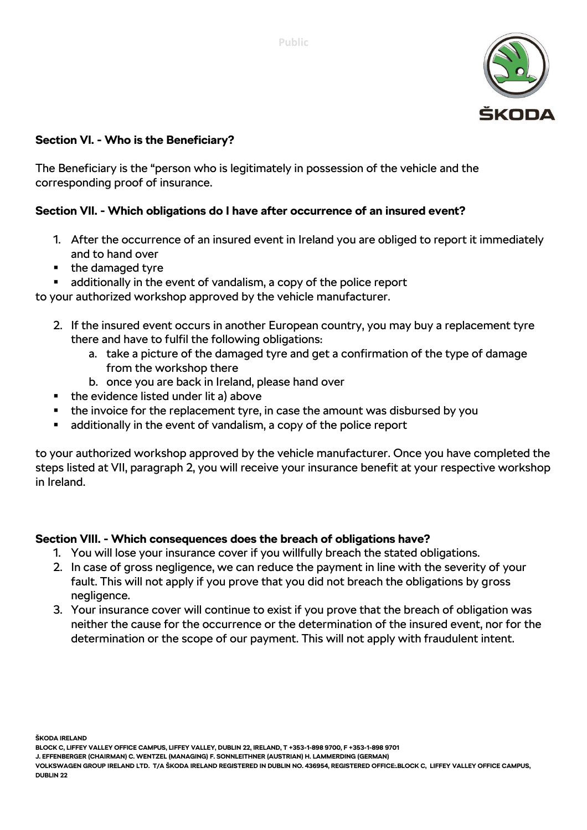

## **Section VI. - Who is the Beneficiary?**

The Beneficiary is the "person who is legitimately in possession of the vehicle and the corresponding proof of insurance.

### **Section VII. - Which obligations do I have after occurrence of an insured event?**

- 1. After the occurrence of an insured event in Ireland you are obliged to report it immediately and to hand over
- $\blacksquare$  the damaged tyre
- additionally in the event of vandalism, a copy of the police report

to your authorized workshop approved by the vehicle manufacturer.

- 2. If the insured event occurs in another European country, you may buy a replacement tyre there and have to fulfil the following obligations:
	- a. take a picture of the damaged tyre and get a confirmation of the type of damage from the workshop there
	- b. once you are back in Ireland, please hand over
- $\blacksquare$  the evidence listed under lit a) above
- the invoice for the replacement tyre, in case the amount was disbursed by you
- additionally in the event of vandalism, a copy of the police report

to your authorized workshop approved by the vehicle manufacturer. Once you have completed the steps listed at VII, paragraph 2, you will receive your insurance benefit at your respective workshop in Ireland.

#### **Section VIII. - Which consequences does the breach of obligations have?**

- 1. You will lose your insurance cover if you willfully breach the stated obligations.
- 2. In case of gross negligence, we can reduce the payment in line with the severity of your fault. This will not apply if you prove that you did not breach the obligations by gross negligence.
- 3. Your insurance cover will continue to exist if you prove that the breach of obligation was neither the cause for the occurrence or the determination of the insured event, nor for the determination or the scope of our payment. This will not apply with fraudulent intent.

**ŠKODA IRELAND**

**BLOCK C, LIFFEY VALLEY OFFICE CAMPUS, LIFFEY VALLEY, DUBLIN 22, IRELAND, T +353-1-898 9700, F +353-1-898 9701**

**J. EFFENBERGER (CHAIRMAN) C. WENTZEL (MANAGING) F. SONNLEITHNER (AUSTRIAN) H. LAMMERDING (GERMAN)** 

**VOLKSWAGEN GROUP IRELAND LTD. T/A ŠKODA IRELAND REGISTERED IN DUBLIN NO. 436954, REGISTERED OFFICE:.BLOCK C, LIFFEY VALLEY OFFICE CAMPUS, DUBLIN 22**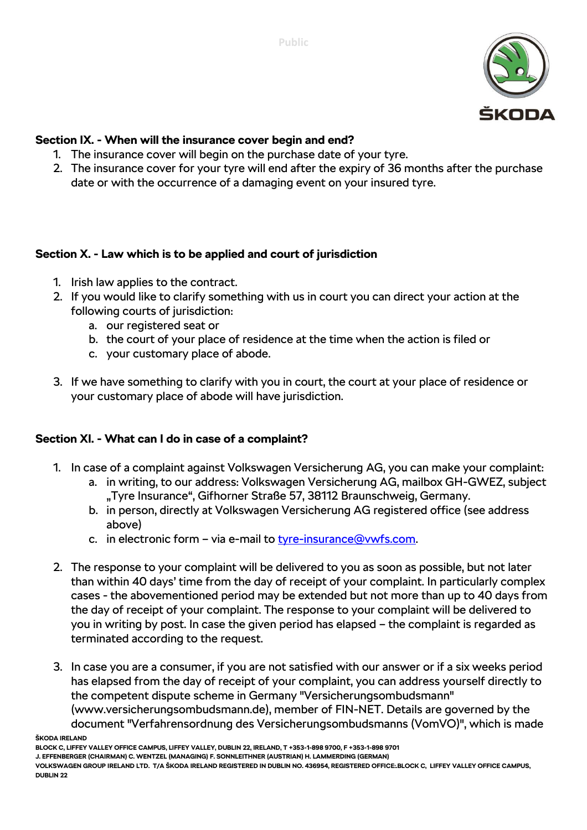

## **Section IX. - When will the insurance cover begin and end?**

- 1. The insurance cover will begin on the purchase date of your tyre.
- 2. The insurance cover for your tyre will end after the expiry of 36 months after the purchase date or with the occurrence of a damaging event on your insured tyre.

# **Section X. - Law which is to be applied and court of jurisdiction**

- 1. Irish law applies to the contract.
- 2. If you would like to clarify something with us in court you can direct your action at the following courts of jurisdiction:
	- a. our registered seat or
	- b. the court of your place of residence at the time when the action is filed or
	- c. your customary place of abode.
- 3. If we have something to clarify with you in court, the court at your place of residence or your customary place of abode will have jurisdiction.

## **Section XI. - What can I do in case of a complaint?**

- 1. In case of a complaint against Volkswagen Versicherung AG, you can make your complaint:
	- a. in writing, to our address: Volkswagen Versicherung AG, mailbox GH-GWEZ, subject "Tyre Insurance", Gifhorner Straße 57, 38112 Braunschweig, Germany.
	- b. in person, directly at Volkswagen Versicherung AG registered office (see address above)
	- c. in electronic form via e-mail to [tyre-insurance@vwfs.com.](mailto:tyre-insurance@vwfs.com)
- 2. The response to your complaint will be delivered to you as soon as possible, but not later than within 40 days' time from the day of receipt of your complaint. In particularly complex cases - the abovementioned period may be extended but not more than up to 40 days from the day of receipt of your complaint. The response to your complaint will be delivered to you in writing by post. In case the given period has elapsed – the complaint is regarded as terminated according to the request.
- 3. In case you are a consumer, if you are not satisfied with our answer or if a six weeks period has elapsed from the day of receipt of your complaint, you can address yourself directly to the competent dispute scheme in Germany "Versicherungsombudsmann" (www.versicherungsombudsmann.de), member of FIN-NET. Details are governed by the document "Verfahrensordnung des Versicherungsombudsmanns (VomVO)", which is made

**ŠKODA IRELAND**

**BLOCK C, LIFFEY VALLEY OFFICE CAMPUS, LIFFEY VALLEY, DUBLIN 22, IRELAND, T +353-1-898 9700, F +353-1-898 9701**

**J. EFFENBERGER (CHAIRMAN) C. WENTZEL (MANAGING) F. SONNLEITHNER (AUSTRIAN) H. LAMMERDING (GERMAN)** 

**VOLKSWAGEN GROUP IRELAND LTD. T/A ŠKODA IRELAND REGISTERED IN DUBLIN NO. 436954, REGISTERED OFFICE:.BLOCK C, LIFFEY VALLEY OFFICE CAMPUS, DUBLIN 22**